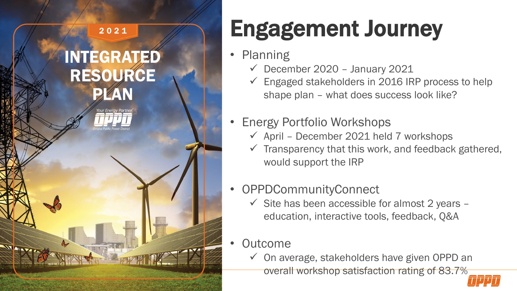$\frac{2021}{202}$ 

# **INTEGRATED<br>RESOURCE**



**WATER** 

## Engagement Journey

- Planning
	- $\checkmark$  December 2020 January 2021
	- Engaged stakeholders in 2016 IRP process to help shape plan – what does success look like?
- Energy Portfolio Workshops
	- $\checkmark$  April December 2021 held 7 workshops
	- $\checkmark$  Transparency that this work, and feedback gathered, would support the IRP
- OPPDCommunityConnect
	- $\checkmark$  Site has been accessible for almost 2 years education, interactive tools, feedback, Q&A
- **Outcome** 
	- $\checkmark$  On average, stakeholders have given OPPD an overall workshop satisfaction rating of 83.7%

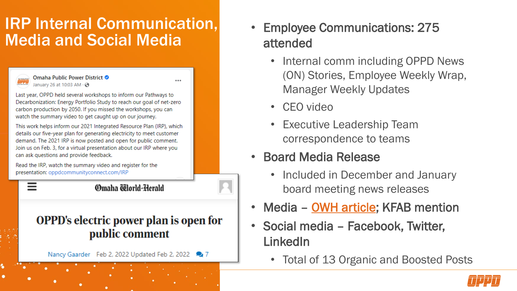#### IRP Internal Communication, Media and Social Media

#### Omaha Public Power District ● January 26 at 10:03 AM . <

Last year, OPPD held several workshops to inform our Pathways to Decarbonization: Energy Portfolio Study to reach our goal of net-zero carbon production by 2050. If you missed the workshops, you can watch the summary video to get caught up on our journey.

This work helps inform our 2021 Integrated Resource Plan (IRP), which details our five-year plan for generating electricity to meet customer demand. The 2021 IRP is now posted and open for public comment. Join us on Feb. 3, for a virtual presentation about our IRP where you can ask questions and provide feedback.

Read the IRP, watch the summary video and register for the presentation: oppdcommunityconnect.com/IRP

Omaha Tilorld-Herald

#### **OPPD's electric power plan is open for** public comment

Nancy Gaarder Feb 2, 2022 Updated Feb 2, 2022

- Employee Communications: 275 attended
	- Internal comm including OPPD News (ON) Stories, Employee Weekly Wrap, Manager Weekly Updates
	- CEO video
	- Executive Leadership Team correspondence to teams
- Board Media Release
	- Included in December and January board meeting news releases
- Media [OWH article;](https://omaha.com/news/state-and-regional/oppds-electric-power-plan-is-open-for-public-comment/article_4ad35958-82d8-11ec-91c5-23b50ec5b52a.html) KFAB mention
- Social media Facebook, Twitter, LinkedIn
	- Total of 13 Organic and Boosted Posts